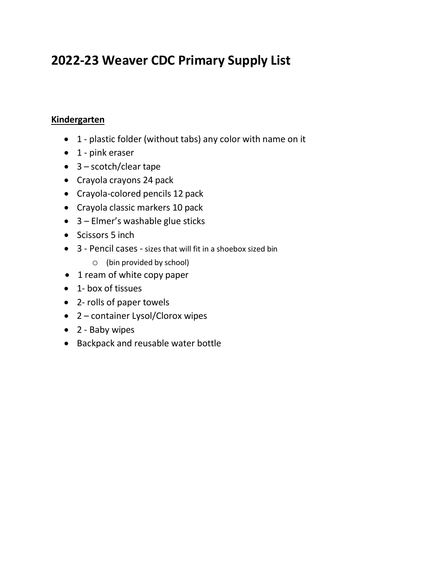# **2022-23 Weaver CDC Primary Supply List**

#### **Kindergarten**

- 1 plastic folder (without tabs) any color with name on it
- 1 pink eraser
- 3 scotch/clear tape
- Crayola crayons 24 pack
- Crayola-colored pencils 12 pack
- Crayola classic markers 10 pack
- 3 Elmer's washable glue sticks
- Scissors 5 inch
- 3 Pencil cases sizes that will fit in a shoebox sized bin
	- o (bin provided by school)
- 1 ream of white copy paper
- 1- box of tissues
- 2- rolls of paper towels
- 2 container Lysol/Clorox wipes
- 2 Baby wipes
- Backpack and reusable water bottle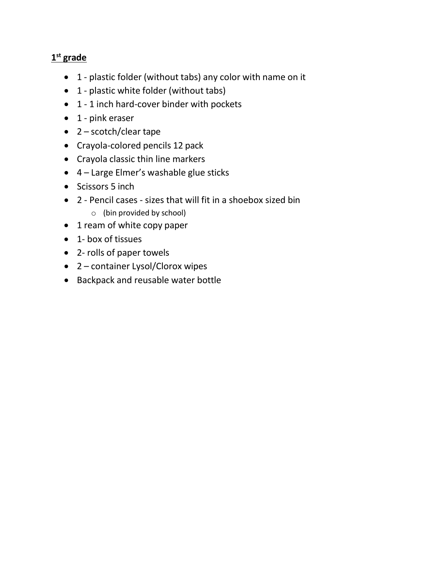## **1st grade**

- 1 plastic folder (without tabs) any color with name on it
- 1 plastic white folder (without tabs)
- 1 1 inch hard-cover binder with pockets
- 1 pink eraser
- 2 scotch/clear tape
- Crayola-colored pencils 12 pack
- Crayola classic thin line markers
- 4 Large Elmer's washable glue sticks
- Scissors 5 inch
- 2 Pencil cases sizes that will fit in a shoebox sized bin o (bin provided by school)
- 1 ream of white copy paper
- 1- box of tissues
- 2- rolls of paper towels
- 2 container Lysol/Clorox wipes
- Backpack and reusable water bottle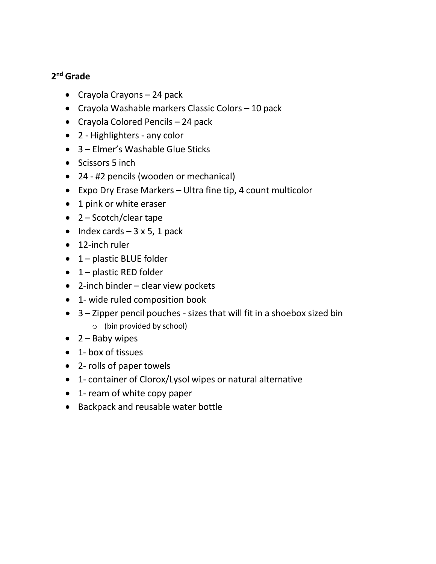#### **2nd Grade**

- Crayola Crayons 24 pack
- Crayola Washable markers Classic Colors 10 pack
- Crayola Colored Pencils 24 pack
- 2 Highlighters any color
- 3 Elmer's Washable Glue Sticks
- Scissors 5 inch
- 24 #2 pencils (wooden or mechanical)
- Expo Dry Erase Markers Ultra fine tip, 4 count multicolor
- 1 pink or white eraser
- 2 Scotch/clear tape
- Index cards  $-3 \times 5$ , 1 pack
- 12-inch ruler
- 1 plastic BLUE folder
- 1 plastic RED folder
- 2-inch binder clear view pockets
- 1- wide ruled composition book
- 3 Zipper pencil pouches sizes that will fit in a shoebox sized bin
	- o (bin provided by school)
- $\bullet$  2 Baby wipes
- 1- box of tissues
- 2- rolls of paper towels
- 1- container of Clorox/Lysol wipes or natural alternative
- 1- ream of white copy paper
- Backpack and reusable water bottle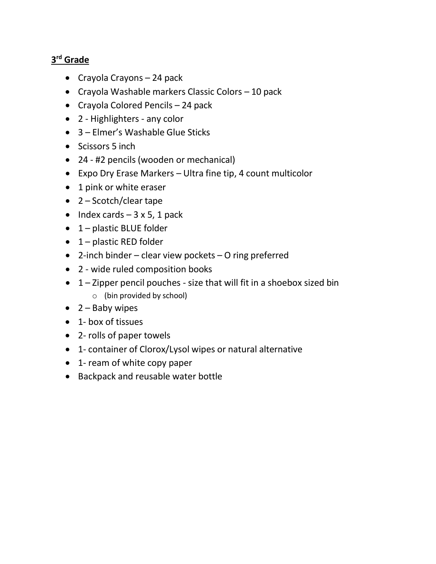## **3rd Grade**

- Crayola Crayons 24 pack
- Crayola Washable markers Classic Colors 10 pack
- Crayola Colored Pencils 24 pack
- 2 Highlighters any color
- 3 Elmer's Washable Glue Sticks
- Scissors 5 inch
- 24 #2 pencils (wooden or mechanical)
- Expo Dry Erase Markers Ultra fine tip, 4 count multicolor
- 1 pink or white eraser
- 2 Scotch/clear tape
- Index cards  $-3 \times 5$ , 1 pack
- 1 plastic BLUE folder
- 1 plastic RED folder
- 2-inch binder clear view pockets O ring preferred
- 2 wide ruled composition books
- 1 Zipper pencil pouches size that will fit in a shoebox sized bin o (bin provided by school)
- $\bullet$  2 Baby wipes
- 1- box of tissues
- 2- rolls of paper towels
- 1- container of Clorox/Lysol wipes or natural alternative
- 1- ream of white copy paper
- Backpack and reusable water bottle